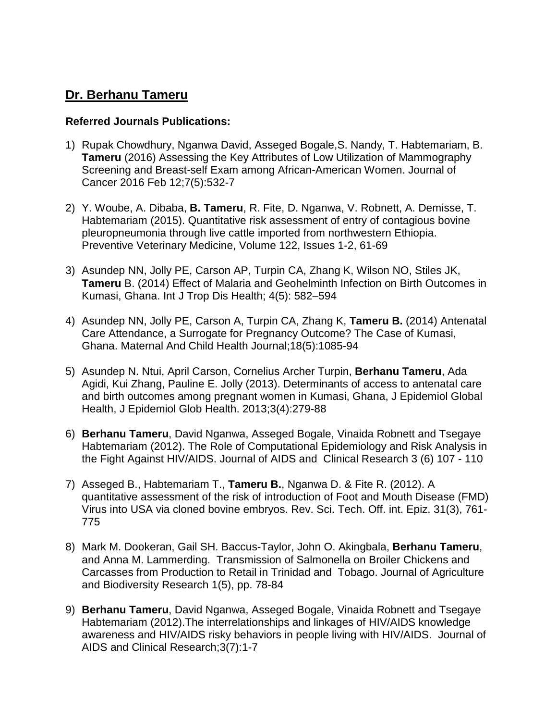## **Dr. Berhanu Tameru**

## **Referred Journals Publications:**

- 1) Rupak Chowdhury, Nganwa David, Asseged Bogale,S. Nandy, T. Habtemariam, B. **Tameru** (2016) Assessing the Key Attributes of Low Utilization of Mammography Screening and Breast-self Exam among African-American Women. Journal of Cancer 2016 Feb 12;7(5):532-7
- 2) Y. Woube, A. Dibaba, **B. Tameru**, R. Fite, D. Nganwa, V. Robnett, A. Demisse, T. Habtemariam (2015). Quantitative risk assessment of entry of contagious bovine pleuropneumonia through live cattle imported from northwestern Ethiopia. Preventive Veterinary Medicine, Volume 122, Issues 1-2, 61-69
- 3) Asundep NN, Jolly PE, Carson AP, Turpin CA, Zhang K, Wilson NO, Stiles JK, **Tameru** B. (2014) Effect of Malaria and Geohelminth Infection on Birth Outcomes in Kumasi, Ghana. Int J Trop Dis Health; 4(5): 582–594
- 4) Asundep NN, Jolly PE, Carson A, Turpin CA, Zhang K, **Tameru B.** (2014) Antenatal Care Attendance, a Surrogate for Pregnancy Outcome? The Case of Kumasi, Ghana. Maternal And Child Health Journal;18(5):1085-94
- 5) Asundep N. Ntui, April Carson, Cornelius Archer Turpin, **Berhanu Tameru**, Ada Agidi, Kui Zhang, Pauline E. Jolly (2013). Determinants of access to antenatal care and birth outcomes among pregnant women in Kumasi, Ghana, J Epidemiol Global Health, J Epidemiol Glob Health. 2013;3(4):279-88
- 6) **Berhanu Tameru**, David Nganwa, Asseged Bogale, Vinaida Robnett and Tsegaye Habtemariam (2012). The Role of Computational Epidemiology and Risk Analysis in the Fight Against HIV/AIDS. Journal of AIDS and Clinical Research 3 (6) 107 - 110
- 7) Asseged B., Habtemariam T., **Tameru B.**, Nganwa D. & Fite R. (2012). A quantitative assessment of the risk of introduction of Foot and Mouth Disease (FMD) Virus into USA via cloned bovine embryos. Rev. Sci. Tech. Off. int. Epiz. 31(3), 761- 775
- 8) Mark M. Dookeran, Gail SH. Baccus-Taylor, John O. Akingbala, **Berhanu Tameru**, and Anna M. Lammerding. Transmission of Salmonella on Broiler Chickens and Carcasses from Production to Retail in Trinidad and Tobago. Journal of Agriculture and Biodiversity Research 1(5), pp. 78-84
- 9) **Berhanu Tameru**, David Nganwa, Asseged Bogale, Vinaida Robnett and Tsegaye Habtemariam (2012).The interrelationships and linkages of HIV/AIDS knowledge awareness and HIV/AIDS risky behaviors in people living with HIV/AIDS. Journal of AIDS and Clinical Research;3(7):1-7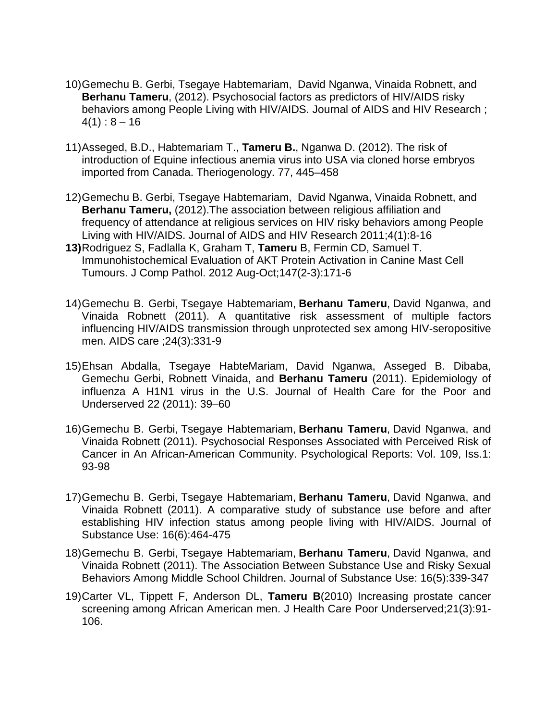- 10)Gemechu B. Gerbi, Tsegaye Habtemariam, David Nganwa, Vinaida Robnett, and **Berhanu Tameru**, (2012). Psychosocial factors as predictors of HIV/AIDS risky behaviors among People Living with HIV/AIDS. Journal of AIDS and HIV Research ;  $4(1): 8 - 16$
- 11)Asseged, B.D., Habtemariam T., **Tameru B.**, Nganwa D. (2012). The risk of introduction of Equine infectious anemia virus into USA via cloned horse embryos imported from Canada. Theriogenology. 77, 445–458
- 12)Gemechu B. Gerbi, Tsegaye Habtemariam, David Nganwa, Vinaida Robnett, and **Berhanu Tameru,** (2012).The association between religious affiliation and frequency of attendance at religious services on HIV risky behaviors among People Living with HIV/AIDS. Journal of AIDS and HIV Research 2011;4(1):8-16
- **13)**Rodriguez S, Fadlalla K, Graham T, **Tameru** B, Fermin CD, Samuel T. Immunohistochemical Evaluation of AKT Protein Activation in Canine Mast Cell Tumours. J Comp Pathol. 2012 Aug-Oct;147(2-3):171-6
- 14)Gemechu B. Gerbi, Tsegaye Habtemariam, **Berhanu Tameru**, David Nganwa, and Vinaida Robnett (2011). A quantitative risk assessment of multiple factors influencing HIV/AIDS transmission through unprotected sex among HIV-seropositive men. AIDS care ;24(3):331-9
- 15)Ehsan Abdalla, Tsegaye HabteMariam, David Nganwa, Asseged B. Dibaba, Gemechu Gerbi, Robnett Vinaida, and **Berhanu Tameru** (2011). Epidemiology of influenza A H1N1 virus in the U.S. Journal of Health Care for the Poor and Underserved 22 (2011): 39–60
- 16)Gemechu B. Gerbi, Tsegaye Habtemariam, **Berhanu Tameru**, David Nganwa, and Vinaida Robnett (2011). Psychosocial Responses Associated with Perceived Risk of Cancer in An African-American Community. Psychological Reports: Vol. 109, Iss.1: 93-98
- 17)Gemechu B. Gerbi, Tsegaye Habtemariam, **Berhanu Tameru**, David Nganwa, and Vinaida Robnett (2011). A comparative study of substance use before and after establishing HIV infection status among people living with HIV/AIDS. Journal of Substance Use: 16(6):464-475
- 18)Gemechu B. Gerbi, Tsegaye Habtemariam, **Berhanu Tameru**, David Nganwa, and Vinaida Robnett (2011). The Association Between Substance Use and Risky Sexual Behaviors Among Middle School Children. Journal of Substance Use: 16(5):339-347
- 19)Carter VL, Tippett F, Anderson DL, **Tameru B**(2010) Increasing prostate cancer screening among African American men. J Health Care Poor Underserved;21(3):91- 106.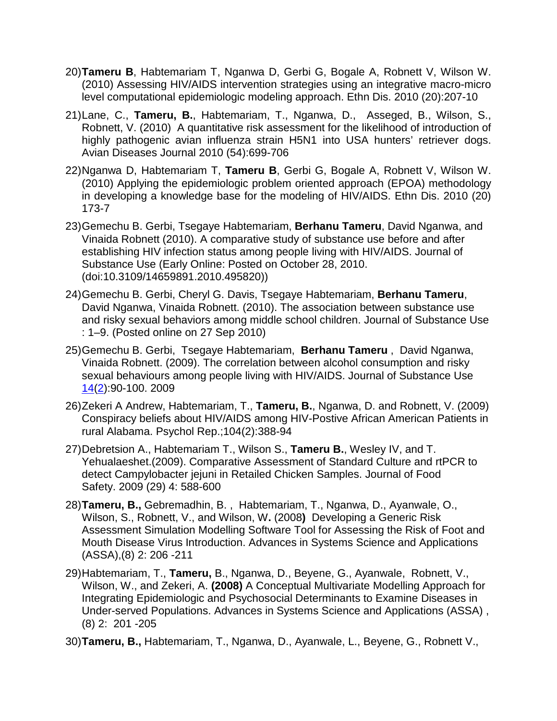- 20)**Tameru B**, Habtemariam T, Nganwa D, Gerbi G, Bogale A, Robnett V, Wilson W. (2010) Assessing HIV/AIDS intervention strategies using an integrative macro-micro level computational epidemiologic modeling approach. Ethn Dis. 2010 (20):207-10
- 21)Lane, C., **Tameru, B.**, Habtemariam, T., Nganwa, D., Asseged, B., Wilson, S., Robnett, V. (2010) A quantitative risk assessment for the likelihood of introduction of highly pathogenic avian influenza strain H5N1 into USA hunters' retriever dogs. Avian Diseases Journal 2010 (54):699-706
- 22)Nganwa D, Habtemariam T, **Tameru B**, Gerbi G, Bogale A, Robnett V, Wilson W. (2010) Applying the epidemiologic problem oriented approach (EPOA) methodology in developing a knowledge base for the modeling of HIV/AIDS. Ethn Dis. 2010 (20) 173-7
- 23)Gemechu B. Gerbi, Tsegaye Habtemariam, **Berhanu Tameru**, David Nganwa, and Vinaida Robnett (2010). A comparative study of substance use before and after establishing HIV infection status among people living with HIV/AIDS. Journal of Substance Use (Early Online: Posted on October 28, 2010. (doi:10.3109/14659891.2010.495820))
- 24)Gemechu B. Gerbi, Cheryl G. Davis, Tsegaye Habtemariam, **Berhanu Tameru**, David Nganwa, Vinaida Robnett. (2010). The association between substance use and risky sexual behaviors among middle school children. Journal of Substance Use : 1–9. (Posted online on 27 Sep 2010)
- 25)Gemechu B. Gerbi, Tsegaye Habtemariam, **Berhanu Tameru** , David Nganwa, Vinaida Robnett. (2009). The correlation between alcohol consumption and risky sexual behaviours among people living with HIV/AIDS. Journal of Substance Use [14\(](http://www.informaworld.com/smpp/title~content=t713655978~db=all~tab=issueslist~branches=14#v14)[2\)](http://www.informaworld.com/smpp/title~content=g910577442~db=all):90-100. 2009
- 26)Zekeri A Andrew, Habtemariam, T., **Tameru, B.**, Nganwa, D. and Robnett, V. (2009) Conspiracy beliefs about HIV/AIDS among HIV-Postive African American Patients in rural Alabama. Psychol Rep.;104(2):388-94
- 27)Debretsion A., Habtemariam T., Wilson S., **Tameru B.**, Wesley IV, and T. Yehualaeshet.(2009). Comparative Assessment of Standard Culture and rtPCR to detect Campylobacter jejuni in Retailed Chicken Samples. Journal of Food Safety. 2009 (29) 4: 588-600
- 28)**Tameru, B.,** Gebremadhin, B. , Habtemariam, T., Nganwa, D., Ayanwale, O., Wilson, S., Robnett, V., and Wilson, W**.** (2008**)** Developing a Generic Risk Assessment Simulation Modelling Software Tool for Assessing the Risk of Foot and Mouth Disease Virus Introduction. Advances in Systems Science and Applications (ASSA),(8) 2: 206 -211
- 29)Habtemariam, T., **Tameru,** B., Nganwa, D., Beyene, G., Ayanwale, Robnett, V., Wilson, W., and Zekeri, A. **(2008)** A Conceptual Multivariate Modelling Approach for Integrating Epidemiologic and Psychosocial Determinants to Examine Diseases in Under-served Populations. Advances in Systems Science and Applications (ASSA) , (8) 2: 201 -205
- 30)**Tameru, B.,** Habtemariam, T., Nganwa, D., Ayanwale, L., Beyene, G., Robnett V.,